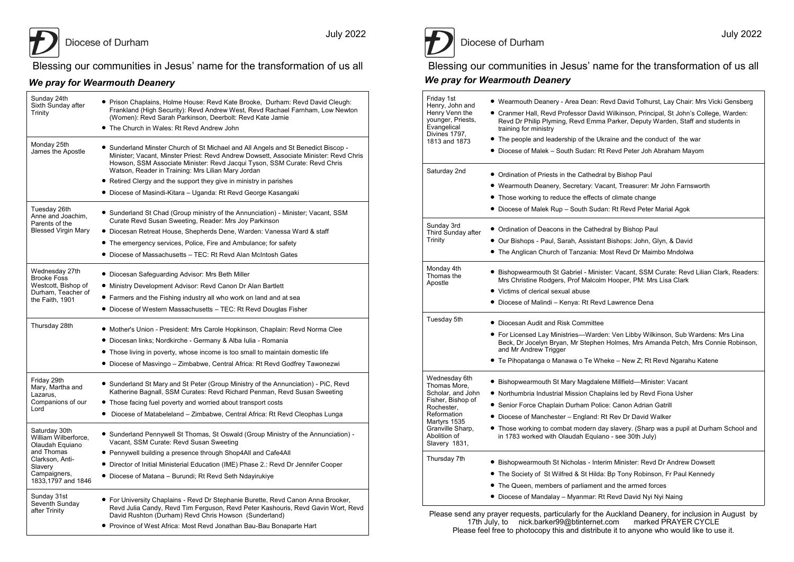July 2022

### Blessing our communities in Jesus' name for the transformation of us all

#### *We pray for Wearmouth Deanery*

| Sunday 24th<br>Sixth Sunday after<br>Trinity                                                                                               | ● Prison Chaplains, Holme House: Revd Kate Brooke, Durham: Revd David Cleugh:<br>Frankland (High Security): Revd Andrew West, Revd Rachael Farnham, Low Newton<br>(Women): Revd Sarah Parkinson, Deerbolt: Revd Kate Jamie<br>• The Church in Wales: Rt Revd Andrew John                                      |
|--------------------------------------------------------------------------------------------------------------------------------------------|---------------------------------------------------------------------------------------------------------------------------------------------------------------------------------------------------------------------------------------------------------------------------------------------------------------|
| Monday 25th<br>James the Apostle                                                                                                           | • Sunderland Minster Church of St Michael and All Angels and St Benedict Biscop -<br>Minister; Vacant, Minster Priest: Revd Andrew Dowsett, Associate Minister: Revd Chris<br>Howson, SSM Associate Minister: Revd Jacqui Tyson, SSM Curate: Revd Chris<br>Watson, Reader in Training: Mrs Lilian Mary Jordan |
|                                                                                                                                            | • Retired Clergy and the support they give in ministry in parishes                                                                                                                                                                                                                                            |
|                                                                                                                                            | • Diocese of Masindi-Kitara - Uganda: Rt Revd George Kasangaki                                                                                                                                                                                                                                                |
| Tuesday 26th<br>Anne and Joachim,<br>Parents of the<br><b>Blessed Virgin Mary</b>                                                          | • Sunderland St Chad (Group ministry of the Annunciation) - Minister; Vacant, SSM<br>Curate Revd Susan Sweeting, Reader: Mrs Joy Parkinson                                                                                                                                                                    |
|                                                                                                                                            | • Diocesan Retreat House, Shepherds Dene, Warden: Vanessa Ward & staff                                                                                                                                                                                                                                        |
|                                                                                                                                            | • The emergency services, Police, Fire and Ambulance; for safety                                                                                                                                                                                                                                              |
|                                                                                                                                            | • Diocese of Massachusetts - TEC: Rt Revd Alan McIntosh Gates                                                                                                                                                                                                                                                 |
| Wednesday 27th<br><b>Brooke Foss</b>                                                                                                       | • Diocesan Safeguarding Advisor: Mrs Beth Miller                                                                                                                                                                                                                                                              |
| Westcott, Bishop of                                                                                                                        | • Ministry Development Advisor: Revd Canon Dr Alan Bartlett                                                                                                                                                                                                                                                   |
| Durham, Teacher of<br>the Faith, 1901                                                                                                      | • Farmers and the Fishing industry all who work on land and at sea                                                                                                                                                                                                                                            |
|                                                                                                                                            | • Diocese of Western Massachusetts - TEC: Rt Revd Douglas Fisher                                                                                                                                                                                                                                              |
| Thursday 28th                                                                                                                              | ● Mother's Union - President: Mrs Carole Hopkinson, Chaplain: Revd Norma Clee                                                                                                                                                                                                                                 |
|                                                                                                                                            | • Diocesan links; Nordkirche - Germany & Alba Iulia - Romania                                                                                                                                                                                                                                                 |
|                                                                                                                                            | • Those living in poverty, whose income is too small to maintain domestic life                                                                                                                                                                                                                                |
|                                                                                                                                            | • Diocese of Masvingo – Zimbabwe, Central Africa: Rt Revd Godfrey Tawonezwi                                                                                                                                                                                                                                   |
| Friday 29th<br>Mary, Martha and<br>Lazarus,                                                                                                | • Sunderland St Mary and St Peter (Group Ministry of the Annunciation) - PiC, Revd<br>Katherine Bagnall, SSM Curates: Revd Richard Penman, Revd Susan Sweeting                                                                                                                                                |
| Companions of our<br>Lord                                                                                                                  | • Those facing fuel poverty and worried about transport costs                                                                                                                                                                                                                                                 |
|                                                                                                                                            | ● Diocese of Matabeleland – Zimbabwe, Central Africa: Rt Revd Cleophas Lunga                                                                                                                                                                                                                                  |
| Saturday 30th<br>William Wilberforce,<br>Olaudah Equiano<br>and Thomas<br>Clarkson, Anti-<br>Slavery<br>Campaigners,<br>1833,1797 and 1846 | • Sunderland Pennywell St Thomas, St Oswald (Group Ministry of the Annunciation) -<br>Vacant, SSM Curate: Revd Susan Sweeting                                                                                                                                                                                 |
|                                                                                                                                            | • Pennywell building a presence through Shop4All and Cafe4All                                                                                                                                                                                                                                                 |
|                                                                                                                                            | • Director of Initial Ministerial Education (IME) Phase 2.: Revd Dr Jennifer Cooper                                                                                                                                                                                                                           |
|                                                                                                                                            | • Diocese of Matana - Burundi; Rt Revd Seth Ndayirukiye                                                                                                                                                                                                                                                       |
| Sunday 31st<br>Seventh Sunday<br>after Trinity                                                                                             | • For University Chaplains - Revd Dr Stephanie Burette, Revd Canon Anna Brooker,<br>Revd Julia Candy, Revd Tim Ferguson, Revd Peter Kashouris, Revd Gavin Wort, Revd<br>David Rushton (Durham) Revd Chris Howson (Sunderland)<br>● Province of West Africa: Most Revd Jonathan Bau-Bau Bonaparte Hart         |



## Diocese of Durham

*We pray for Wearmouth Deanery* Blessing our communities in Jesus' name for the transformation of us all

| Friday 1st<br>Henry, John and<br>Henry Venn the<br>younger, Priests,<br>Evangelical<br>Divines 1797,<br>1813 and 1873                                                     | ● Wearmouth Deanery - Area Dean: Revd David Tolhurst, Lay Chair: Mrs Vicki Gensberg<br>● Cranmer Hall, Revd Professor David Wilkinson, Principal, St John's College, Warden:<br>Revd Dr Philip Plyming, Revd Emma Parker, Deputy Warden, Staff and students in<br>training for ministry<br>$\bullet$ The people and leadership of the Ukraine and the conduct of the war<br>• Diocese of Malek - South Sudan: Rt Revd Peter Joh Abraham Mayom |
|---------------------------------------------------------------------------------------------------------------------------------------------------------------------------|-----------------------------------------------------------------------------------------------------------------------------------------------------------------------------------------------------------------------------------------------------------------------------------------------------------------------------------------------------------------------------------------------------------------------------------------------|
| Saturday 2nd                                                                                                                                                              | ● Ordination of Priests in the Cathedral by Bishop Paul<br>● Wearmouth Deanery, Secretary: Vacant, Treasurer: Mr John Farnsworth<br>• Those working to reduce the effects of climate change<br>• Diocese of Malek Rup – South Sudan: Rt Revd Peter Marial Agok                                                                                                                                                                                |
| Sunday 3rd<br>Third Sunday after<br>Trinity                                                                                                                               | ● Ordination of Deacons in the Cathedral by Bishop Paul<br>● Our Bishops - Paul, Sarah, Assistant Bishops: John, Glyn, & David<br>● The Anglican Church of Tanzania: Most Revd Dr Maimbo Mndolwa                                                                                                                                                                                                                                              |
| Monday 4th<br>Thomas the<br>Apostle                                                                                                                                       | ● Bishopwearmouth St Gabriel - Minister: Vacant, SSM Curate: Revd Lilian Clark, Readers:<br>Mrs Christine Rodgers, Prof Malcolm Hooper, PM: Mrs Lisa Clark<br>• Victims of clerical sexual abuse<br>● Diocese of Malindi – Kenya: Rt Revd Lawrence Dena                                                                                                                                                                                       |
| Tuesday 5th                                                                                                                                                               | • Diocesan Audit and Risk Committee<br>● For Licensed Lay Ministries—Warden: Ven Libby Wilkinson, Sub Wardens: Mrs Lina<br>Beck, Dr Jocelyn Bryan, Mr Stephen Holmes, Mrs Amanda Petch, Mrs Connie Robinson,<br>and Mr Andrew Trigger<br>●  Te Pihopatanga o Manawa o Te Wheke – New Z; Rt Revd Ngarahu Katene                                                                                                                                |
| Wednesday 6th<br>Thomas More,<br>Scholar, and John<br>Fisher, Bishop of<br>Rochester,<br>Reformation<br>Martyrs 1535<br>Granville Sharp,<br>Abolition of<br>Slavery 1831, | ● Bishopwearmouth St Mary Magdalene Millfield—Minister: Vacant<br>• Northumbria Industrial Mission Chaplains led by Revd Fiona Usher<br>● Senior Force Chaplain Durham Police: Canon Adrian Gatrill<br>● Diocese of Manchester – England: Rt Rev Dr David Walker<br>• Those working to combat modern day slavery. (Sharp was a pupil at Durham School and<br>in 1783 worked with Olaudah Equiano - see 30th July)                             |
| Thursday 7th                                                                                                                                                              | ● Bishopwearmouth St Nicholas - Interim Minister: Revd Dr Andrew Dowsett<br>● The Society of St Wilfred & St Hilda: Bp Tony Robinson, Fr Paul Kennedy<br>• The Queen, members of parliament and the armed forces<br>● Diocese of Mandalay – Myanmar: Rt Revd David Nyi Nyi Naing                                                                                                                                                              |